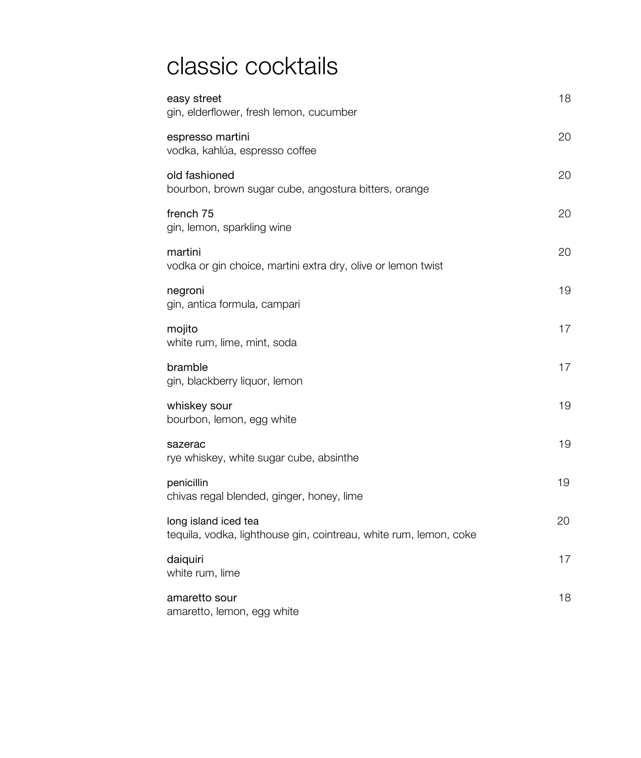## classic cocktails

| easy street<br>gin, elderflower, fresh lemon, cucumber                                    | 18 |
|-------------------------------------------------------------------------------------------|----|
| espresso martini<br>vodka, kahlúa, espresso coffee                                        | 20 |
| old fashioned<br>bourbon, brown sugar cube, angostura bitters, orange                     | 20 |
| french 75<br>gin, lemon, sparkling wine                                                   | 20 |
| martini<br>vodka or gin choice, martini extra dry, olive or lemon twist                   | 20 |
| negroni<br>gin, antica formula, campari                                                   | 19 |
| mojito<br>white rum, lime, mint, soda                                                     | 17 |
| bramble<br>gin, blackberry liquor, lemon                                                  | 17 |
| whiskey sour<br>bourbon, lemon, egg white                                                 | 19 |
| sazerac<br>rye whiskey, white sugar cube, absinthe                                        | 19 |
| penicillin<br>chivas regal blended, ginger, honey, lime                                   | 19 |
| long island iced tea<br>tequila, vodka, lighthouse gin, cointreau, white rum, lemon, coke | 20 |
| daiquiri<br>white rum, lime                                                               | 17 |
| amaretto sour<br>amaretto, lemon, egg white                                               | 18 |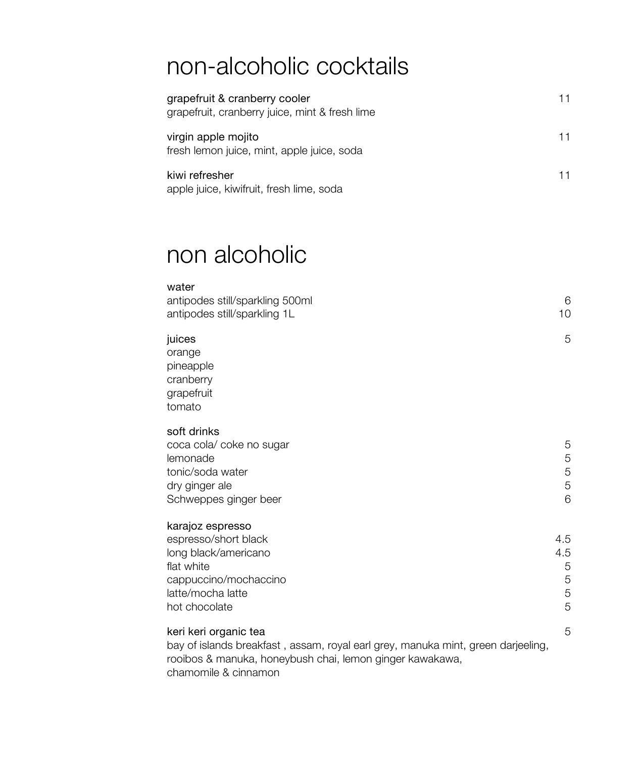## non-alcoholic cocktails

| grapefruit & cranberry cooler<br>grapefruit, cranberry juice, mint & fresh lime | 11 |
|---------------------------------------------------------------------------------|----|
| virgin apple mojito<br>fresh lemon juice, mint, apple juice, soda               | 11 |
| kiwi refresher<br>apple juice, kiwifruit, fresh lime, soda                      | 11 |

## non alcoholic

| water                                                                                                                                                                 |                                |
|-----------------------------------------------------------------------------------------------------------------------------------------------------------------------|--------------------------------|
| antipodes still/sparkling 500ml<br>antipodes still/sparkling 1L                                                                                                       | 6<br>10                        |
| juices<br>orange<br>pineapple<br>cranberry<br>grapefruit<br>tomato                                                                                                    | 5                              |
| soft drinks<br>coca cola/ coke no sugar<br>lemonade<br>tonic/soda water<br>dry ginger ale<br>Schweppes ginger beer                                                    | 5<br>5<br>5<br>5<br>6          |
| karajoz espresso<br>espresso/short black<br>long black/americano<br>flat white<br>cappuccino/mochaccino<br>latte/mocha latte<br>hot chocolate                         | 4.5<br>4.5<br>5<br>5<br>5<br>5 |
| keri keri organic tea<br>bay of islands breakfast, assam, royal earl grey, manuka mint, green darjeeling,<br>rooibos & manuka, honeybush chai, lemon ginger kawakawa, | 5                              |

chamomile & cinnamon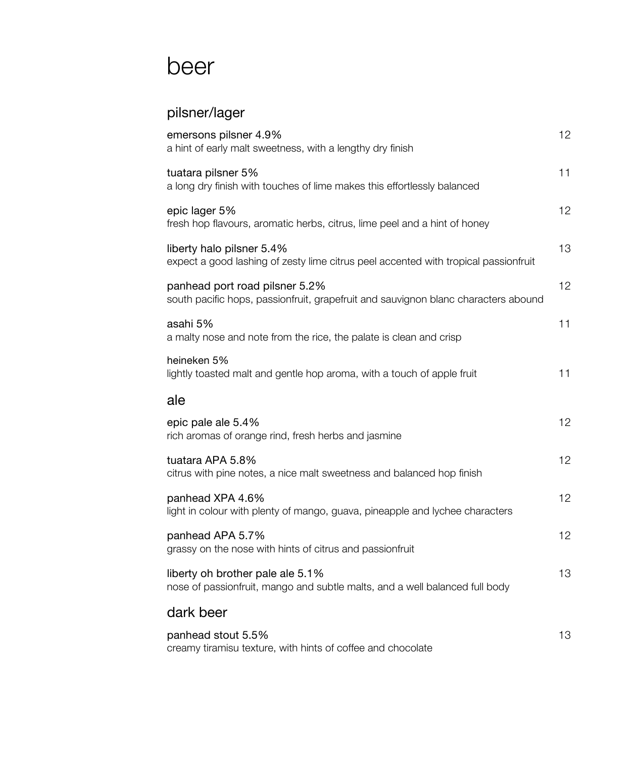### beer

#### pilsner/lager

| emersons pilsner 4.9%<br>a hint of early malt sweetness, with a lengthy dry finish                                   | 12 |
|----------------------------------------------------------------------------------------------------------------------|----|
| tuatara pilsner 5%<br>a long dry finish with touches of lime makes this effortlessly balanced                        | 11 |
| epic lager 5%<br>fresh hop flavours, aromatic herbs, citrus, lime peel and a hint of honey                           | 12 |
| liberty halo pilsner 5.4%<br>expect a good lashing of zesty lime citrus peel accented with tropical passionfruit     | 13 |
| panhead port road pilsner 5.2%<br>south pacific hops, passionfruit, grapefruit and sauvignon blanc characters abound | 12 |
| asahi 5%<br>a malty nose and note from the rice, the palate is clean and crisp                                       | 11 |
| heineken 5%<br>lightly toasted malt and gentle hop aroma, with a touch of apple fruit                                | 11 |
| ale                                                                                                                  |    |
| epic pale ale 5.4%<br>rich aromas of orange rind, fresh herbs and jasmine                                            | 12 |
| tuatara APA 5.8%<br>citrus with pine notes, a nice malt sweetness and balanced hop finish                            | 12 |
| panhead XPA 4.6%<br>light in colour with plenty of mango, guava, pineapple and lychee characters                     | 12 |
| panhead APA 5.7%<br>grassy on the nose with hints of citrus and passionfruit                                         | 12 |
| liberty oh brother pale ale 5.1%<br>nose of passionfruit, mango and subtle malts, and a well balanced full body      | 13 |
| dark beer                                                                                                            |    |
| panhead stout 5.5%<br>creamy tiramisu texture, with hints of coffee and chocolate                                    | 13 |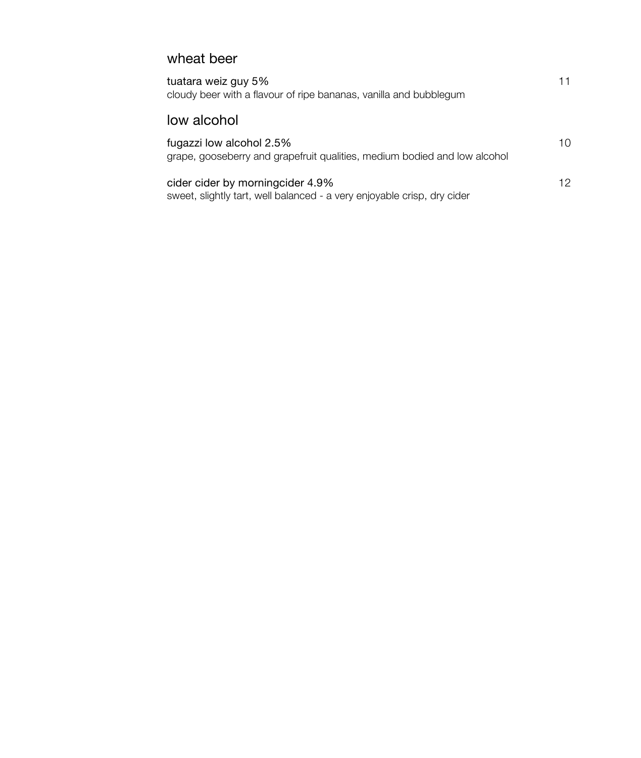#### wheat beer

| tuatara weiz guy 5%<br>cloudy beer with a flavour of ripe bananas, vanilla and bubblegum                    | 11 |
|-------------------------------------------------------------------------------------------------------------|----|
| low alcohol                                                                                                 |    |
| fugazzi low alcohol 2.5%<br>grape, gooseberry and grapefruit qualities, medium bodied and low alcohol       | 10 |
| cider cider by morningcider 4.9%<br>sweet, slightly tart, well balanced - a very enjoyable crisp, dry cider | 12 |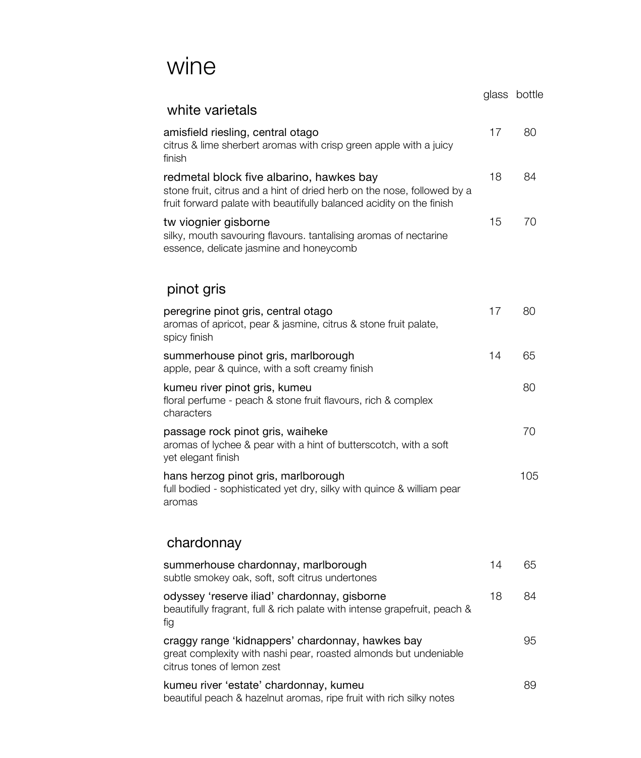### wine

|                                                                                                                                                                                             |    | glass bottle |
|---------------------------------------------------------------------------------------------------------------------------------------------------------------------------------------------|----|--------------|
| white varietals                                                                                                                                                                             |    |              |
| amisfield riesling, central otago<br>citrus & lime sherbert aromas with crisp green apple with a juicy<br>finish                                                                            | 17 | 80           |
| redmetal block five albarino, hawkes bay<br>stone fruit, citrus and a hint of dried herb on the nose, followed by a<br>fruit forward palate with beautifully balanced acidity on the finish | 18 | 84           |
| tw viognier gisborne<br>silky, mouth savouring flavours. tantalising aromas of nectarine<br>essence, delicate jasmine and honeycomb                                                         | 15 | 70           |
| pinot gris                                                                                                                                                                                  |    |              |
| peregrine pinot gris, central otago<br>aromas of apricot, pear & jasmine, citrus & stone fruit palate,<br>spicy finish                                                                      | 17 | 80           |
| summerhouse pinot gris, marlborough<br>apple, pear & quince, with a soft creamy finish                                                                                                      | 14 | 65           |
| kumeu river pinot gris, kumeu<br>floral perfume - peach & stone fruit flavours, rich & complex<br>characters                                                                                |    | 80           |
| passage rock pinot gris, waiheke<br>aromas of lychee & pear with a hint of butterscotch, with a soft<br>yet elegant finish                                                                  |    | 70           |
| hans herzog pinot gris, marlborough<br>full bodied - sophisticated yet dry, silky with quince & william pear<br>aromas                                                                      |    | 105          |
| chardonnay                                                                                                                                                                                  |    |              |
| summerhouse chardonnay, marlborough<br>subtle smokey oak, soft, soft citrus undertones                                                                                                      | 14 | 65           |
| odyssey 'reserve iliad' chardonnay, gisborne<br>beautifully fragrant, full & rich palate with intense grapefruit, peach &<br>fig                                                            | 18 | 84           |
| craggy range 'kidnappers' chardonnay, hawkes bay<br>great complexity with nashi pear, roasted almonds but undeniable<br>citrus tones of lemon zest                                          |    | 95           |
| kumeu river 'estate' chardonnay, kumeu                                                                                                                                                      |    | 89           |

beautiful peach & hazelnut aromas, ripe fruit with rich silky notes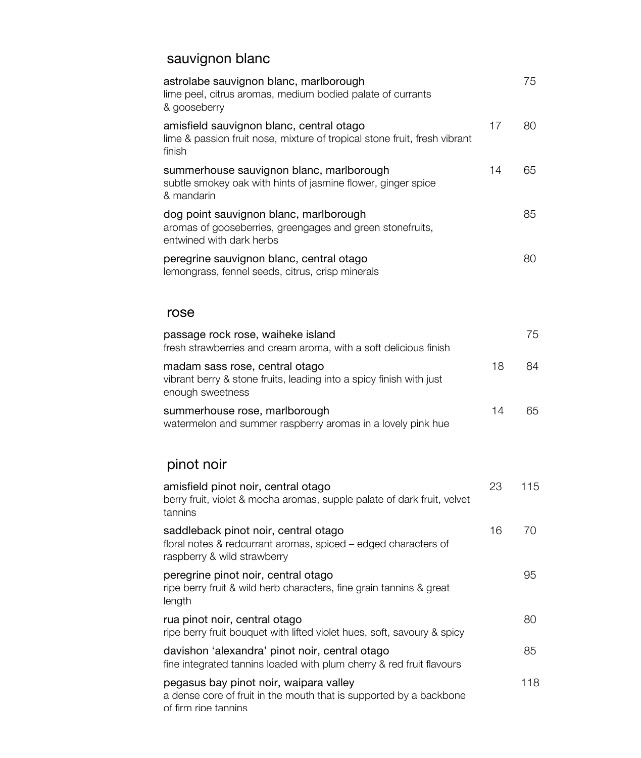#### sauvignon blanc

| astrolabe sauvignon blanc, marlborough<br>lime peel, citrus aromas, medium bodied palate of currants<br>& gooseberry                  |    | 75  |
|---------------------------------------------------------------------------------------------------------------------------------------|----|-----|
| amisfield sauvignon blanc, central otago<br>lime & passion fruit nose, mixture of tropical stone fruit, fresh vibrant<br>finish       | 17 | 80  |
| summerhouse sauvignon blanc, marlborough<br>subtle smokey oak with hints of jasmine flower, ginger spice<br>& mandarin                | 14 | 65  |
| dog point sauvignon blanc, marlborough<br>aromas of gooseberries, greengages and green stonefruits,<br>entwined with dark herbs       |    | 85  |
| peregrine sauvignon blanc, central otago<br>lemongrass, fennel seeds, citrus, crisp minerals                                          |    | 80  |
| rose                                                                                                                                  |    |     |
| passage rock rose, waiheke island<br>fresh strawberries and cream aroma, with a soft delicious finish                                 |    | 75  |
| madam sass rose, central otago<br>vibrant berry & stone fruits, leading into a spicy finish with just<br>enough sweetness             | 18 | 84  |
| summerhouse rose, marlborough<br>watermelon and summer raspberry aromas in a lovely pink hue                                          | 14 | 65  |
| pinot noir                                                                                                                            |    |     |
| amisfield pinot noir, central otago<br>berry fruit, violet & mocha aromas, supple palate of dark fruit, velvet<br>tannins             | 23 | 115 |
| saddleback pinot noir, central otago<br>floral notes & redcurrant aromas, spiced - edged characters of<br>raspberry & wild strawberry | 16 | 70  |
| peregrine pinot noir, central otago<br>ripe berry fruit & wild herb characters, fine grain tannins & great<br>length                  |    | 95  |
| rua pinot noir, central otago<br>ripe berry fruit bouquet with lifted violet hues, soft, savoury & spicy                              |    | 80  |
| davishon 'alexandra' pinot noir, central otago<br>fine integrated tannins loaded with plum cherry & red fruit flavours                |    | 85  |
| pegasus bay pinot noir, waipara valley<br>a dense core of fruit in the mouth that is supported by a backbone<br>of firm rine tannins  |    | 118 |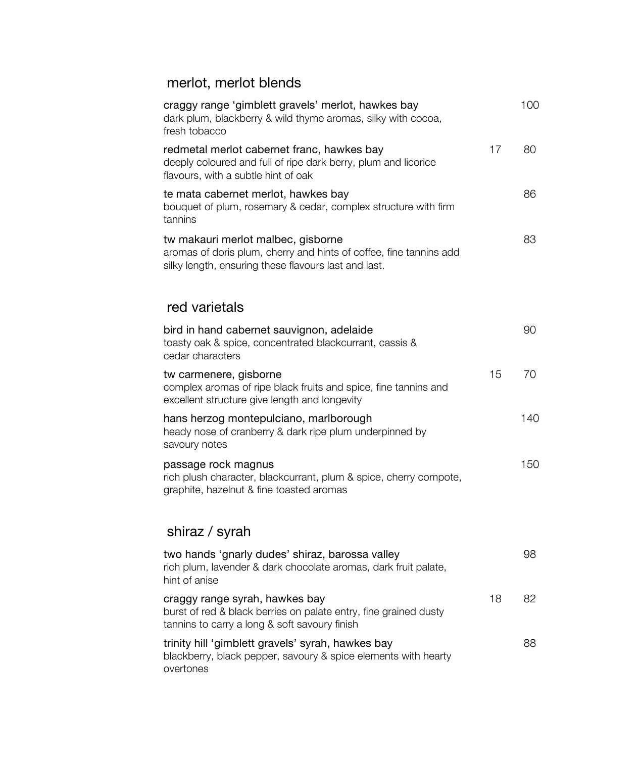#### merlot, merlot blends

| craggy range 'gimblett gravels' merlot, hawkes bay<br>dark plum, blackberry & wild thyme aromas, silky with cocoa,<br>fresh tobacco                              |    | 100 |
|------------------------------------------------------------------------------------------------------------------------------------------------------------------|----|-----|
| redmetal merlot cabernet franc, hawkes bay<br>deeply coloured and full of ripe dark berry, plum and licorice<br>flavours, with a subtle hint of oak              | 17 | 80  |
| te mata cabernet merlot, hawkes bay<br>bouquet of plum, rosemary & cedar, complex structure with firm<br>tannins                                                 |    | 86  |
| tw makauri merlot malbec, gisborne<br>aromas of doris plum, cherry and hints of coffee, fine tannins add<br>silky length, ensuring these flavours last and last. |    | 83  |
| red varietals                                                                                                                                                    |    |     |
| bird in hand cabernet sauvignon, adelaide<br>toasty oak & spice, concentrated blackcurrant, cassis &<br>cedar characters                                         |    | 90  |
| tw carmenere, gisborne<br>complex aromas of ripe black fruits and spice, fine tannins and<br>excellent structure give length and longevity                       | 15 | 70  |
| hans herzog montepulciano, marlborough<br>heady nose of cranberry & dark ripe plum underpinned by<br>savoury notes                                               |    | 140 |
| passage rock magnus<br>rich plush character, blackcurrant, plum & spice, cherry compote,<br>graphite, hazelnut & fine toasted aromas                             |    | 150 |
| shiraz / syrah                                                                                                                                                   |    |     |
| two hands 'gnarly dudes' shiraz, barossa valley<br>rich plum, lavender & dark chocolate aromas, dark fruit palate,<br>hint of anise                              |    | 98  |
| craggy range syrah, hawkes bay<br>burst of red & black berries on palate entry, fine grained dusty<br>tannins to carry a long & soft savoury finish              | 18 | 82  |
| trinity hill 'gimblett gravels' syrah, hawkes bay<br>blackberry, black pepper, savoury & spice elements with hearty<br>overtones                                 |    | 88  |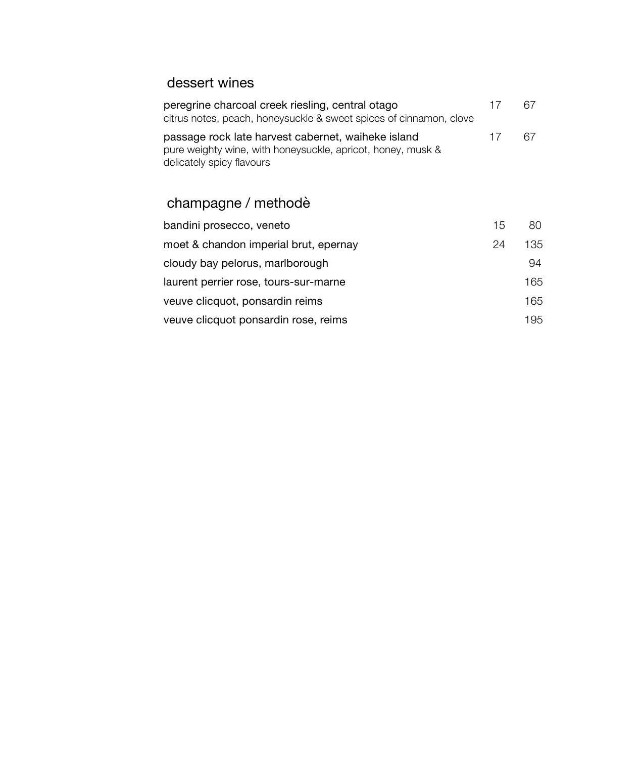#### dessert wines

| peregrine charcoal creek riesling, central otago                   |    | 67 |
|--------------------------------------------------------------------|----|----|
| citrus notes, peach, honeysuckle & sweet spices of cinnamon, clove |    |    |
| passage rock late harvest cabernet, waiheke island                 | 17 | 67 |
| pure weighty wine, with honeysuckle, apricot, honey, musk &        |    |    |
| delicately spicy flavours                                          |    |    |

### champagne / methodè

| bandini prosecco, veneto              | 15 | 80  |
|---------------------------------------|----|-----|
| moet & chandon imperial brut, epernay | 24 | 135 |
| cloudy bay pelorus, marlborough       |    | 94  |
| laurent perrier rose, tours-sur-marne |    | 165 |
| veuve clicquot, ponsardin reims       |    | 165 |
| veuve clicquot ponsardin rose, reims  |    | 195 |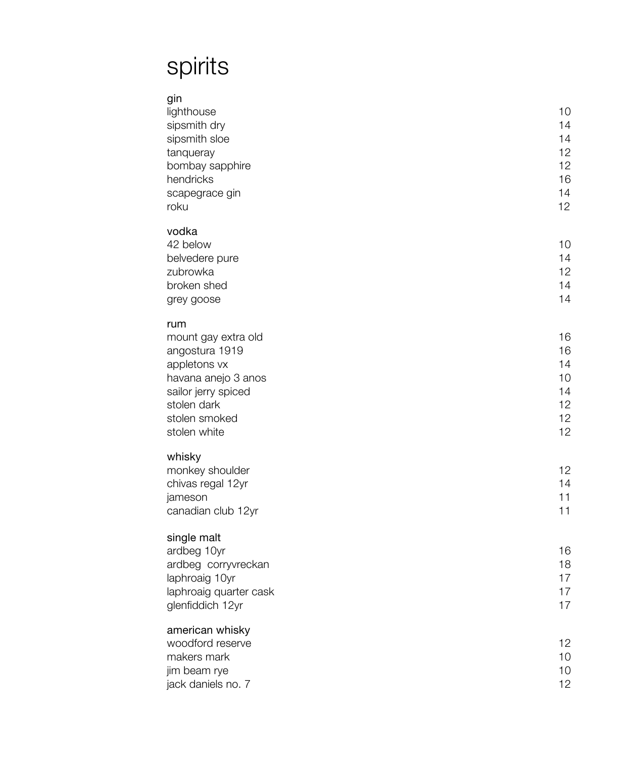# spirits

| v | ٠ |
|---|---|
|   |   |

| gın<br>lighthouse<br>sipsmith dry<br>sipsmith sloe<br>tanqueray<br>bombay sapphire<br>hendricks<br>scapegrace gin<br>roku                                  | 10<br>14<br>14<br>12<br>12<br>16<br>14<br>12 |
|------------------------------------------------------------------------------------------------------------------------------------------------------------|----------------------------------------------|
| vodka<br>42 below<br>belvedere pure<br>zubrowka<br>broken shed<br>grey goose                                                                               | 10<br>14<br>12<br>14<br>14                   |
| rum<br>mount gay extra old<br>angostura 1919<br>appletons vx<br>havana anejo 3 anos<br>sailor jerry spiced<br>stolen dark<br>stolen smoked<br>stolen white | 16<br>16<br>14<br>10<br>14<br>12<br>12<br>12 |
| whisky<br>monkey shoulder<br>chivas regal 12yr<br>jameson<br>canadian club 12yr                                                                            | 12<br>14<br>11<br>11                         |
| single malt<br>ardbeg 10yr<br>ardbeg corryvreckan<br>laphroaig 10yr<br>laphroaig quarter cask<br>glenfiddich 12yr                                          | 16<br>18<br>17<br>17<br>17                   |
| american whisky<br>woodford reserve<br>makers mark<br>jim beam rye<br>jack daniels no. 7                                                                   | 12<br>10 <sup>1</sup><br>10<br>12            |